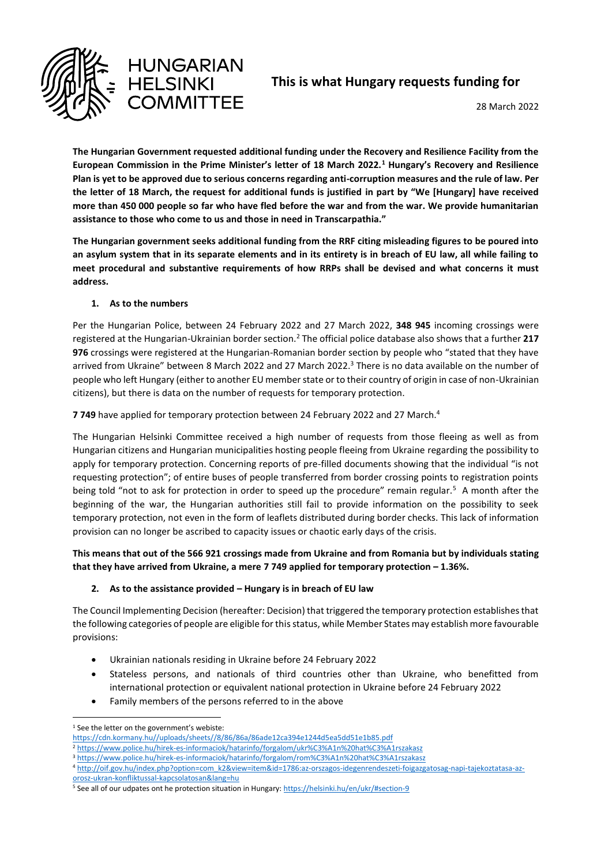

# **This is what Hungary requests funding for**

28 March 2022

**The Hungarian Government requested additional funding under the Recovery and Resilience Facility from the European Commission in the Prime Minister's letter of 18 March 2022.<sup>1</sup> Hungary's Recovery and Resilience Plan is yet to be approved due to serious concerns regarding anti-corruption measures and the rule of law. Per the letter of 18 March, the request for additional funds is justified in part by "We [Hungary] have received more than 450 000 people so far who have fled before the war and from the war. We provide humanitarian assistance to those who come to us and those in need in Transcarpathia."** 

**The Hungarian government seeks additional funding from the RRF citing misleading figures to be poured into an asylum system that in its separate elements and in its entirety is in breach of EU law, all while failing to meet procedural and substantive requirements of how RRPs shall be devised and what concerns it must address.** 

#### **1. As to the numbers**

Per the Hungarian Police, between 24 February 2022 and 27 March 2022, **348 945** incoming crossings were registered at the Hungarian-Ukrainian border section.<sup>2</sup> The official police database also shows that a further **217 976** crossings were registered at the Hungarian-Romanian border section by people who "stated that they have arrived from Ukraine" between 8 March 2022 and 27 March 2022.<sup>3</sup> There is no data available on the number of people who left Hungary (either to another EU member state or to their country of origin in case of non-Ukrainian citizens), but there is data on the number of requests for temporary protection.

**7 749** have applied for temporary protection between 24 February 2022 and 27 March.<sup>4</sup>

The Hungarian Helsinki Committee received a high number of requests from those fleeing as well as from Hungarian citizens and Hungarian municipalities hosting people fleeing from Ukraine regarding the possibility to apply for temporary protection. Concerning reports of pre-filled documents showing that the individual "is not requesting protection"; of entire buses of people transferred from border crossing points to registration points being told "not to ask for protection in order to speed up the procedure" remain regular.<sup>5</sup> A month after the beginning of the war, the Hungarian authorities still fail to provide information on the possibility to seek temporary protection, not even in the form of leaflets distributed during border checks. This lack of information provision can no longer be ascribed to capacity issues or chaotic early days of the crisis.

## **This means that out of the 566 921 crossings made from Ukraine and from Romania but by individuals stating that they have arrived from Ukraine, a mere 7 749 applied for temporary protection – 1.36%.**

## **2. As to the assistance provided – Hungary is in breach of EU law**

The Council Implementing Decision (hereafter: Decision) that triggered the temporary protection establishes that the following categories of people are eligible for this status, while Member States may establish more favourable provisions:

- Ukrainian nationals residing in Ukraine before 24 February 2022
- Stateless persons, and nationals of third countries other than Ukraine, who benefitted from international protection or equivalent national protection in Ukraine before 24 February 2022
- Family members of the persons referred to in the above

 $\overline{a}$ <sup>1</sup> See the letter on the government's webiste:

[https://cdn.kormany.hu//uploads/sheets//8/86/86a/86ade12ca394e1244d5ea5dd51e1b85.pdf](https://cdn.kormany.hu/uploads/sheets/8/86/86a/86ade12ca394e1244d5ea5dd51e1b85.pdf)

<sup>2</sup> <https://www.police.hu/hirek-es-informaciok/hatarinfo/forgalom/ukr%C3%A1n%20hat%C3%A1rszakasz>

<sup>3</sup> <https://www.police.hu/hirek-es-informaciok/hatarinfo/forgalom/rom%C3%A1n%20hat%C3%A1rszakasz>

<sup>4</sup> http://oif.gov.hu/index.php?option=com\_k2&view=item&id=1786:az-orszagos-idegenrendeszeti-foigazgatosag-napi-tajekoztatasa-azorosz-ukran-konfliktussal-kapcsolatosan&lang=hu

<sup>5</sup> See all of our udpates ont he protection situation in Hungary[: https://helsinki.hu/en/ukr/#section-9](https://helsinki.hu/en/ukr/#section-9)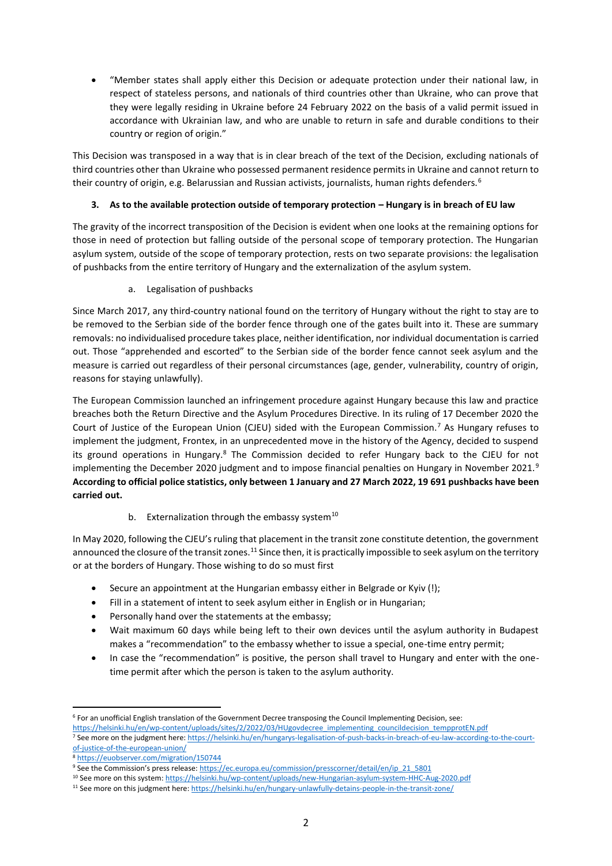"Member states shall apply either this Decision or adequate protection under their national law, in respect of stateless persons, and nationals of third countries other than Ukraine, who can prove that they were legally residing in Ukraine before 24 February 2022 on the basis of a valid permit issued in accordance with Ukrainian law, and who are unable to return in safe and durable conditions to their country or region of origin."

This Decision was transposed in a way that is in clear breach of the text of the Decision, excluding nationals of third countries other than Ukraine who possessed permanent residence permits in Ukraine and cannot return to their country of origin, e.g. Belarussian and Russian activists, journalists, human rights defenders.<sup>6</sup>

## **3.** As to the available protection outside of temporary protection – Hungary is in breach of EU law

The gravity of the incorrect transposition of the Decision is evident when one looks at the remaining options for those in need of protection but falling outside of the personal scope of temporary protection. The Hungarian asylum system, outside of the scope of temporary protection, rests on two separate provisions: the legalisation of pushbacks from the entire territory of Hungary and the externalization of the asylum system.

a. Legalisation of pushbacks

Since March 2017, any third-country national found on the territory of Hungary without the right to stay are to be removed to the Serbian side of the border fence through one of the gates built into it. These are summary removals: no individualised procedure takes place, neither identification, nor individual documentation is carried out. Those "apprehended and escorted" to the Serbian side of the border fence cannot seek asylum and the measure is carried out regardless of their personal circumstances (age, gender, vulnerability, country of origin, reasons for staying unlawfully).

The European Commission launched an infringement procedure against Hungary because this law and practice breaches both the Return Directive and the Asylum Procedures Directive. In its ruling of 17 December 2020 the Court of Justice of the European Union (CJEU) sided with the European Commission.<sup>7</sup> As Hungary refuses to implement the judgment, Frontex, in an unprecedented move in the history of the Agency, decided to suspend its ground operations in Hungary.<sup>8</sup> The Commission decided to refer Hungary back to the CJEU for not implementing the December 2020 judgment and to impose financial penalties on Hungary in November 2021.<sup>9</sup> **According to official police statistics, only between 1 January and 27 March 2022, 19 691 pushbacks have been carried out.**

# b. Externalization through the embassy system $10$

In May 2020, following the CJEU's ruling that placement in the transit zone constitute detention, the government announced the closure of the transit zones.<sup>11</sup> Since then, it is practically impossible to seek asylum on the territory or at the borders of Hungary. Those wishing to do so must first

- Secure an appointment at the Hungarian embassy either in Belgrade or Kyiv (!);
- Fill in a statement of intent to seek asylum either in English or in Hungarian;
- Personally hand over the statements at the embassy;
- Wait maximum 60 days while being left to their own devices until the asylum authority in Budapest makes a "recommendation" to the embassy whether to issue a special, one-time entry permit;
- In case the "recommendation" is positive, the person shall travel to Hungary and enter with the onetime permit after which the person is taken to the asylum authority.

<sup>1</sup> <sup>6</sup> For an unofficial English translation of the Government Decree transposing the Council Implementing Decision, see: [https://helsinki.hu/en/wp-content/uploads/sites/2/2022/03/HUgovdecree\\_implementing\\_councildecision\\_tempprotEN.pdf](https://helsinki.hu/en/wp-content/uploads/sites/2/2022/03/HUgovdecree_implementing_councildecision_tempprotEN.pdf)

<sup>&</sup>lt;sup>7</sup> See more on the judgment here: [https://helsinki.hu/en/hungarys-legalisation-of-push-backs-in-breach-of-eu-law-according-to-the-court](https://helsinki.hu/en/hungarys-legalisation-of-push-backs-in-breach-of-eu-law-according-to-the-court-of-justice-of-the-european-union/)[of-justice-of-the-european-union/](https://helsinki.hu/en/hungarys-legalisation-of-push-backs-in-breach-of-eu-law-according-to-the-court-of-justice-of-the-european-union/)

<sup>8</sup> <https://euobserver.com/migration/150744>

<sup>9</sup> See the Commission's press release: [https://ec.europa.eu/commission/presscorner/detail/en/ip\\_21\\_5801](https://ec.europa.eu/commission/presscorner/detail/en/ip_21_5801)

<sup>10</sup> See more on this system[: https://helsinki.hu/wp-content/uploads/new-Hungarian-asylum-system-HHC-Aug-2020.pdf](https://helsinki.hu/wp-content/uploads/new-Hungarian-asylum-system-HHC-Aug-2020.pdf)

<sup>11</sup> See more on this judgment here[: https://helsinki.hu/en/hungary-unlawfully-detains-people-in-the-transit-zone/](https://helsinki.hu/en/hungary-unlawfully-detains-people-in-the-transit-zone/)